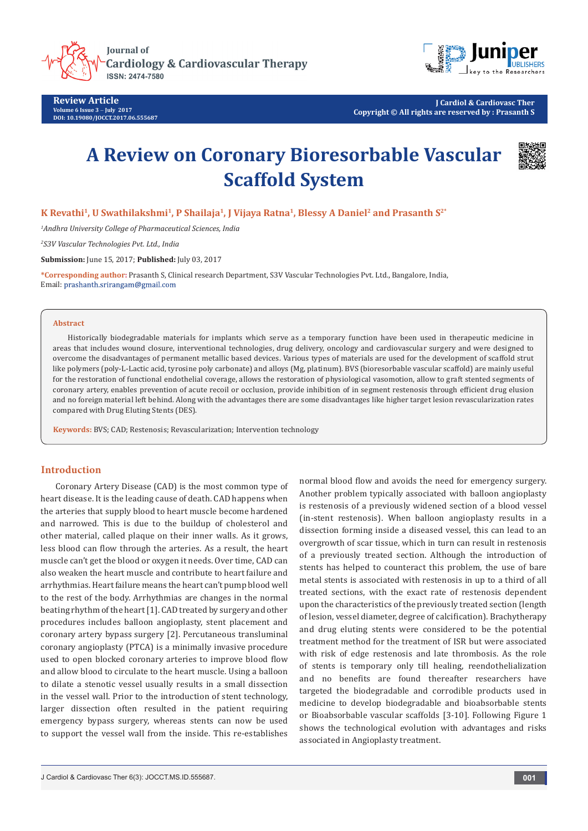

**Cardiology & Cardiovascular Therapy ISSN: 2474-7580** 

**Review Article Volume 6 Issue 3** - **July 2017 DOI: [10.19080/JOCCT.2017.06.555687](http://dx.doi.org/10.19080/JOCCT.2017.06.555687
)**



**J Cardiol & Cardiovasc Ther Copyright © All rights are reserved by : Prasanth S**

# **A Review on Coronary Bioresorbable Vascular Scaffold System**



**K Revathi<sup>1</sup>, U Swathilakshmi<sup>1</sup>, P Shailaja<sup>1</sup>, J Vijaya Ratna<sup>1</sup>, Blessy A Daniel<sup>2</sup> and Prasanth S<sup>2\*</sup>** 

*1 Andhra University College of Pharmaceutical Sciences, India*

*2 S3V Vascular Technologies Pvt. Ltd., India*

**Submission:** June 15, 2017; **Published:** July 03, 2017

**\*Corresponding author:** Prasanth S, Clinical research Department, S3V Vascular Technologies Pvt. Ltd., Bangalore, India, Email: prashanth.srirangam@gmail.com

#### **Abstract**

Historically biodegradable materials for implants which serve as a temporary function have been used in therapeutic medicine in areas that includes wound closure, interventional technologies, drug delivery, oncology and cardiovascular surgery and were designed to overcome the disadvantages of permanent metallic based devices. Various types of materials are used for the development of scaffold strut like polymers (poly-L-Lactic acid, tyrosine poly carbonate) and alloys (Mg, platinum). BVS (bioresorbable vascular scaffold) are mainly useful for the restoration of functional endothelial coverage, allows the restoration of physiological vasomotion, allow to graft stented segments of coronary artery, enables prevention of acute recoil or occlusion, provide inhibition of in segment restenosis through efficient drug elusion and no foreign material left behind. Along with the advantages there are some disadvantages like higher target lesion revascularization rates compared with Drug Eluting Stents (DES).

**Keywords:** BVS; CAD; Restenosis; Revascularization; Intervention technology

## **Introduction**

Coronary Artery Disease (CAD) is the most common type of heart disease. It is the leading cause of death. CAD happens when the arteries that supply blood to heart muscle become hardened and narrowed. This is due to the buildup of cholesterol and other material, called plaque on their inner walls. As it grows, less blood can flow through the arteries. As a result, the heart muscle can't get the blood or oxygen it needs. Over time, CAD can also weaken the heart muscle and contribute to heart failure and arrhythmias. Heart failure means the heart can't pump blood well to the rest of the body. Arrhythmias are changes in the normal beating rhythm of the heart [1]. CAD treated by surgery and other procedures includes balloon angioplasty, stent placement and coronary artery bypass surgery [2]. Percutaneous transluminal coronary angioplasty (PTCA) is a minimally invasive procedure used to open blocked coronary arteries to improve blood flow and allow blood to circulate to the heart muscle. Using a balloon to dilate a stenotic vessel usually results in a small dissection in the vessel wall. Prior to the introduction of stent technology, larger dissection often resulted in the patient requiring emergency bypass surgery, whereas stents can now be used to support the vessel wall from the inside. This re-establishes normal blood flow and avoids the need for emergency surgery. Another problem typically associated with balloon angioplasty is restenosis of a previously widened section of a blood vessel (in-stent restenosis). When balloon angioplasty results in a dissection forming inside a diseased vessel, this can lead to an overgrowth of scar tissue, which in turn can result in restenosis of a previously treated section. Although the introduction of stents has helped to counteract this problem, the use of bare metal stents is associated with restenosis in up to a third of all treated sections, with the exact rate of restenosis dependent upon the characteristics of the previously treated section (length of lesion, vessel diameter, degree of calcification). Brachytherapy and drug eluting stents were considered to be the potential treatment method for the treatment of ISR but were associated with risk of edge restenosis and late thrombosis. As the role of stents is temporary only till healing, reendothelialization and no benefits are found thereafter researchers have targeted the biodegradable and corrodible products used in medicine to develop biodegradable and bioabsorbable stents or Bioabsorbable vascular scaffolds [3-10]. Following Figure 1 shows the technological evolution with advantages and risks associated in Angioplasty treatment.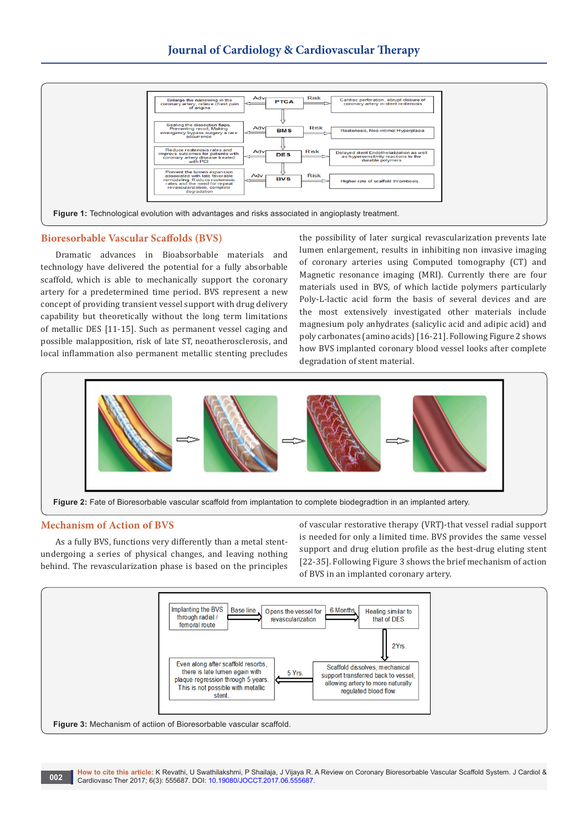

## **Bioresorbable Vascular Scaffolds (BVS)**

Dramatic advances in Bioabsorbable materials and technology have delivered the potential for a fully absorbable scaffold, which is able to mechanically support the coronary artery for a predetermined time period. BVS represent a new concept of providing transient vessel support with drug delivery capability but theoretically without the long term limitations of metallic DES [11-15]. Such as permanent vessel caging and possible malapposition, risk of late ST, neoatherosclerosis, and local inflammation also permanent metallic stenting precludes the possibility of later surgical revascularization prevents late lumen enlargement, results in inhibiting non invasive imaging of coronary arteries using Computed tomography (CT) and Magnetic resonance imaging (MRI). Currently there are four materials used in BVS, of which lactide polymers particularly Poly-L-lactic acid form the basis of several devices and are the most extensively investigated other materials include magnesium poly anhydrates (salicylic acid and adipic acid) and poly carbonates (amino acids) [16-21]. Following Figure 2 shows how BVS implanted coronary blood vessel looks after complete degradation of stent material.



## **Mechanism of Action of BVS**

As a fully BVS, functions very differently than a metal stentundergoing a series of physical changes, and leaving nothing behind. The revascularization phase is based on the principles

of vascular restorative therapy (VRT)-that vessel radial support is needed for only a limited time. BVS provides the same vessel support and drug elution profile as the best-drug eluting stent [22-35]. Following Figure 3 shows the brief mechanism of action of BVS in an implanted coronary artery.

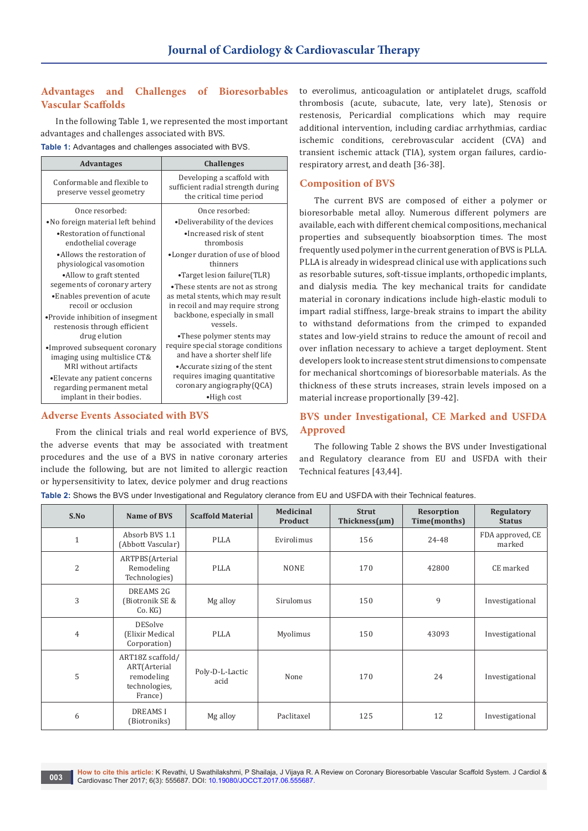# **Advantages and Challenges of Bioresorbables Vascular Scaffolds**

In the following Table 1, we represented the most important advantages and challenges associated with BVS.

**Table 1:** Advantages and challenges associated with BVS.

| <b>Advantages</b>                                                                                                                                                                                                                                                   | <b>Challenges</b>                                                                                                                                                                    |  |  |  |
|---------------------------------------------------------------------------------------------------------------------------------------------------------------------------------------------------------------------------------------------------------------------|--------------------------------------------------------------------------------------------------------------------------------------------------------------------------------------|--|--|--|
| Conformable and flexible to<br>preserve vessel geometry                                                                                                                                                                                                             | Developing a scaffold with<br>sufficient radial strength during<br>the critical time period                                                                                          |  |  |  |
| Once resorbed:                                                                                                                                                                                                                                                      | Once resorbed:                                                                                                                                                                       |  |  |  |
| •No foreign material left behind                                                                                                                                                                                                                                    | •Deliverability of the devices                                                                                                                                                       |  |  |  |
| • Restoration of functional<br>endothelial coverage                                                                                                                                                                                                                 | •Increased risk of stent<br>thrombosis                                                                                                                                               |  |  |  |
| •Allows the restoration of<br>physiological vasomotion                                                                                                                                                                                                              | •Longer duration of use of blood<br>thinners                                                                                                                                         |  |  |  |
| •Allow to graft stented                                                                                                                                                                                                                                             | •Target lesion failure(TLR)<br>•These stents are not as strong<br>as metal stents, which may result<br>in recoil and may require strong<br>backbone, especially in small<br>vessels. |  |  |  |
| segements of coronary artery<br>• Enables prevention of acute<br>recoil or occlusion<br>• Provide inhibition of insegment<br>restenosis through efficient<br>drug elution<br>•Improved subsequent coronary<br>imaging using multislice CT&<br>MRI without artifacts |                                                                                                                                                                                      |  |  |  |
|                                                                                                                                                                                                                                                                     | •These polymer stents may<br>require special storage conditions<br>and have a shorter shelf life                                                                                     |  |  |  |
|                                                                                                                                                                                                                                                                     | • Accurate sizing of the stent                                                                                                                                                       |  |  |  |
| • Elevate any patient concerns<br>regarding permanent metal                                                                                                                                                                                                         | requires imaging quantitative<br>coronary angiography(QCA)                                                                                                                           |  |  |  |
| implant in their bodies.                                                                                                                                                                                                                                            | $\bullet$ High cost                                                                                                                                                                  |  |  |  |

## **Adverse Events Associated with BVS**

From the clinical trials and real world experience of BVS, the adverse events that may be associated with treatment procedures and the use of a BVS in native coronary arteries include the following, but are not limited to allergic reaction or hypersensitivity to latex, device polymer and drug reactions

to everolimus, anticoagulation or antiplatelet drugs, scaffold thrombosis (acute, subacute, late, very late), Stenosis or restenosis, Pericardial complications which may require additional intervention, including cardiac arrhythmias, cardiac ischemic conditions, cerebrovascular accident (CVA) and transient ischemic attack (TIA), system organ failures, cardiorespiratory arrest, and death [36-38].

## **Composition of BVS**

The current BVS are composed of either a polymer or bioresorbable metal alloy. Numerous different polymers are available, each with different chemical compositions, mechanical properties and subsequently bioabsorption times. The most frequently used polymer in the current generation of BVS is PLLA. PLLA is already in widespread clinical use with applications such as resorbable sutures, soft-tissue implants, orthopedic implants, and dialysis media. The key mechanical traits for candidate material in coronary indications include high-elastic moduli to impart radial stiffness, large-break strains to impart the ability to withstand deformations from the crimped to expanded states and low-yield strains to reduce the amount of recoil and over inflation necessary to achieve a target deployment. Stent developers look to increase stent strut dimensions to compensate for mechanical shortcomings of bioresorbable materials. As the thickness of these struts increases, strain levels imposed on a material increase proportionally [39-42].

## **BVS under Investigational, CE Marked and USFDA Approved**

The following Table 2 shows the BVS under Investigational and Regulatory clearance from EU and USFDA with their Technical features [43,44].

**Table 2:** Shows the BVS under Investigational and Regulatory clerance from EU and USFDA with their Technical features.

| S.No           | Name of BVS                                                                | <b>Scaffold Material</b> | <b>Medicinal</b><br>Product | <b>Strut</b><br>Thickness $(\mu m)$ | Resorption<br>Time(months) | Regulatory<br><b>Status</b> |
|----------------|----------------------------------------------------------------------------|--------------------------|-----------------------------|-------------------------------------|----------------------------|-----------------------------|
| $1\,$          | Absorb BVS 1.1<br>(Abbott Vascular)                                        | <b>PLLA</b>              | Evirolimus                  | 156                                 | 24-48                      | FDA approved, CE<br>marked  |
| $\overline{2}$ | ARTPBS(Arterial<br>Remodeling<br>Technologies)                             | <b>PLLA</b>              | <b>NONE</b>                 | 170                                 | 42800                      | CE marked                   |
| 3              | DREAMS <sub>2G</sub><br>(Biotronik SE &<br>Co.KG                           | Mg alloy                 | Sirulomus                   | 150                                 | 9                          | Investigational             |
| $\overline{4}$ | <b>DESolve</b><br>(Elixir Medical<br>Corporation)                          | <b>PLLA</b>              | Myolimus                    | 150                                 | 43093                      | Investigational             |
| 5              | ART18Z scaffold/<br>ART(Arterial<br>remodeling<br>technologies,<br>France) | Poly-D-L-Lactic<br>acid  | None                        | 170                                 | 24                         | Investigational             |
| 6              | <b>DREAMSI</b><br>(Biotroniks)                                             | Mg alloy                 | Paclitaxel                  | 125                                 | 12                         | Investigational             |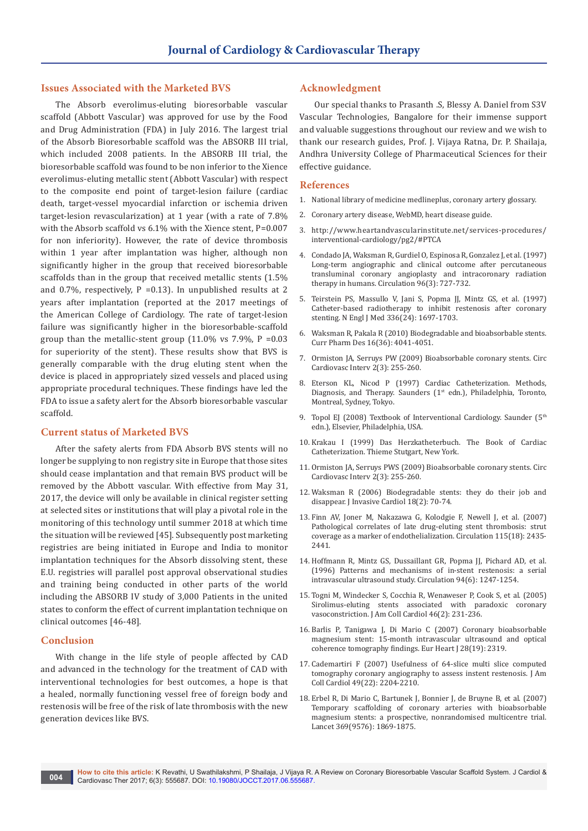## **Issues Associated with the Marketed BVS**

The Absorb everolimus-eluting bioresorbable vascular scaffold (Abbott Vascular) was approved for use by the Food and Drug Administration (FDA) in July 2016. The largest trial of the Absorb Bioresorbable scaffold was the ABSORB III trial, which included 2008 patients. In the ABSORB III trial, the bioresorbable scaffold was found to be non inferior to the Xience everolimus-eluting metallic stent (Abbott Vascular) with respect to the composite end point of target-lesion failure (cardiac death, target-vessel myocardial infarction or ischemia driven target-lesion revascularization) at 1 year (with a rate of 7.8% with the Absorb scaffold vs 6.1% with the Xience stent, P=0.007 for non inferiority). However, the rate of device thrombosis within 1 year after implantation was higher, although non significantly higher in the group that received bioresorbable scaffolds than in the group that received metallic stents (1.5% and 0.7%, respectively,  $P = 0.13$ ). In unpublished results at 2 years after implantation (reported at the 2017 meetings of the American College of Cardiology. The rate of target-lesion failure was significantly higher in the bioresorbable-scaffold group than the metallic-stent group (11.0% vs 7.9%,  $P = 0.03$ for superiority of the stent). These results show that BVS is generally comparable with the drug eluting stent when the device is placed in appropriately sized vessels and placed using appropriate procedural techniques. These findings have led the FDA to issue a safety alert for the Absorb bioresorbable vascular scaffold.

## **Current status of Marketed BVS**

After the safety alerts from FDA Absorb BVS stents will no longer be supplying to non registry site in Europe that those sites should cease implantation and that remain BVS product will be removed by the Abbott vascular. With effective from May 31, 2017, the device will only be available in clinical register setting at selected sites or institutions that will play a pivotal role in the monitoring of this technology until summer 2018 at which time the situation will be reviewed [45]. Subsequently post marketing registries are being initiated in Europe and India to monitor implantation techniques for the Absorb dissolving stent, these E.U. registries will parallel post approval observational studies and training being conducted in other parts of the world including the ABSORB IV study of 3,000 Patients in the united states to conform the effect of current implantation technique on clinical outcomes [46-48].

## **Conclusion**

With change in the life style of people affected by CAD and advanced in the technology for the treatment of CAD with interventional technologies for best outcomes, a hope is that a healed, normally functioning vessel free of foreign body and restenosis will be free of the risk of late thrombosis with the new generation devices like BVS.

## **Acknowledgment**

Our special thanks to Prasanth .S, Blessy A. Daniel from S3V Vascular Technologies, Bangalore for their immense support and valuable suggestions throughout our review and we wish to thank our research guides, Prof. J. Vijaya Ratna, Dr. P. Shailaja, Andhra University College of Pharmaceutical Sciences for their effective guidance.

#### **References**

- 1. National library of medicine medlineplus, coronary artery glossary.
- 2. Coronary artery disease, WebMD, heart disease guide.
- 3. [http://www.heartandvascularinstitute.net/services-procedures/](http://www.heartandvascularinstitute.net/services-procedures/interventional-cardiology/pg2/%23PTCA) [interventional-cardiology/pg2/#PTCA](http://www.heartandvascularinstitute.net/services-procedures/interventional-cardiology/pg2/%23PTCA)
- 4. [Condado JA, Waksman R, Gurdiel O, Espinosa R, Gonzalez J, et al. \(1997\)](https://www.ncbi.nlm.nih.gov/pubmed/9264475)  [Long-term angiographic and clinical outcome after percutaneous](https://www.ncbi.nlm.nih.gov/pubmed/9264475)  [transluminal coronary angioplasty and intracoronary radiation](https://www.ncbi.nlm.nih.gov/pubmed/9264475)  [therapy in humans. Circulation 96\(3\): 727-732.](https://www.ncbi.nlm.nih.gov/pubmed/9264475)
- 5. [Teirstein PS, Massullo V, Jani S, Popma JJ, Mintz GS, et al. \(1997\)](https://www.ncbi.nlm.nih.gov/pubmed/9180087)  [Catheter-based radiotherapy to inhibit restenosis after coronary](https://www.ncbi.nlm.nih.gov/pubmed/9180087)  [stenting. N Engl J Med 336\(24\): 1697-1703.](https://www.ncbi.nlm.nih.gov/pubmed/9180087)
- 6. [Waksman R, Pakala R \(2010\) Biodegradable and bioabsorbable stents.](https://www.ncbi.nlm.nih.gov/pubmed/21208182)  [Curr Pharm Des 16\(36\): 4041-4051.](https://www.ncbi.nlm.nih.gov/pubmed/21208182)
- 7. [Ormiston JA, Serruys PW \(2009\) Bioabsorbable coronary stents. Circ](https://www.ncbi.nlm.nih.gov/pubmed/20031723)  [Cardiovasc Interv 2\(3\): 255-260.](https://www.ncbi.nlm.nih.gov/pubmed/20031723)
- 8. [Eterson KL, Nicod P \(1997\) Cardiac Catheterization. Methods,](http://onlinelibrary.wiley.com/doi/10.1002/clc.4960201024/abstract)  Diagnosis, and Therapy. Saunders (1<sup>st</sup> edn.), Philadelphia, Toronto, [Montreal, Sydney, Tokyo.](http://onlinelibrary.wiley.com/doi/10.1002/clc.4960201024/abstract)
- 9. Topol EJ (2008) Textbook of Interventional Cardiology. Saunder (5<sup>th</sup> edn.), Elsevier, Philadelphia, USA.
- 10. Krakau I (1999) Das Herzkatheterbuch. The Book of Cardiac Catheterization. Thieme Stutgart, New York.
- 11. [Ormiston JA, Serruys PWS \(2009\) Bioabsorbable coronary stents. Circ](http://circinterventions.ahajournals.org/content/2/3/255.short)  [Cardiovasc Interv 2\(3\): 255-260.](http://circinterventions.ahajournals.org/content/2/3/255.short)
- 12. [Waksman R \(2006\) Biodegradable stents: they do their job and](https://www.ncbi.nlm.nih.gov/pubmed/16446520)  [disappear. J Invasive Cardiol 18\(2\): 70-74.](https://www.ncbi.nlm.nih.gov/pubmed/16446520)
- 13. [Finn AV, Joner M, Nakazawa G, Kolodgie F, Newell J, et al. \(2007\)](https://www.ncbi.nlm.nih.gov/pubmed/17438147)  [Pathological correlates of late drug-eluting stent thrombosis: strut](https://www.ncbi.nlm.nih.gov/pubmed/17438147)  [coverage as a marker of endothelialization. Circulation 115\(18\): 2435-](https://www.ncbi.nlm.nih.gov/pubmed/17438147) [2441.](https://www.ncbi.nlm.nih.gov/pubmed/17438147)
- 14. [Hoffmann R, Mintz GS, Dussaillant GR, Popma JJ, Pichard AD, et al.](https://www.ncbi.nlm.nih.gov/pubmed/8822976)  [\(1996\) Patterns and mechanisms of in-stent restenosis: a serial](https://www.ncbi.nlm.nih.gov/pubmed/8822976)  [intravascular ultrasound study. Circulation 94\(6\): 1247-1254.](https://www.ncbi.nlm.nih.gov/pubmed/8822976)
- 15. [Togni M, Windecker S, Cocchia R, Wenaweser P, Cook S, et al. \(2005\)](https://www.ncbi.nlm.nih.gov/pubmed/16022947)  [Sirolimus-eluting stents associated with paradoxic coronary](https://www.ncbi.nlm.nih.gov/pubmed/16022947)  [vasoconstriction. J Am Coll Cardiol 46\(2\): 231-236.](https://www.ncbi.nlm.nih.gov/pubmed/16022947)
- 16. [Barlis P, Tanigawa J, Di Mario C \(2007\) Coronary bioabsorbable](https://www.ncbi.nlm.nih.gov/pubmed/17485484)  [magnesium stent: 15-month intravascular ultrasound and optical](https://www.ncbi.nlm.nih.gov/pubmed/17485484)  [coherence tomography findings. Eur Heart J 28\(19\): 2319.](https://www.ncbi.nlm.nih.gov/pubmed/17485484)
- 17. [Cademartiri F \(2007\) Usefulness of 64-slice multi slice computed](http://www.sciencedirect.com/science/article/pii/S0735109707009825)  [tomography coronary angiography to assess instent restenosis. J Am](http://www.sciencedirect.com/science/article/pii/S0735109707009825)  [Coll Cardiol 49\(22\): 2204-2210.](http://www.sciencedirect.com/science/article/pii/S0735109707009825)
- 18. [Erbel R, Di Mario C, Bartunek J, Bonnier J, de Bruyne B, et al. \(2007\)](https://www.ncbi.nlm.nih.gov/pubmed/17544767)  [Temporary scaffolding of coronary arteries with bioabsorbable](https://www.ncbi.nlm.nih.gov/pubmed/17544767)  [magnesium stents: a prospective, nonrandomised multicentre trial.](https://www.ncbi.nlm.nih.gov/pubmed/17544767)  [Lancet 369\(9576\): 1869-1875.](https://www.ncbi.nlm.nih.gov/pubmed/17544767)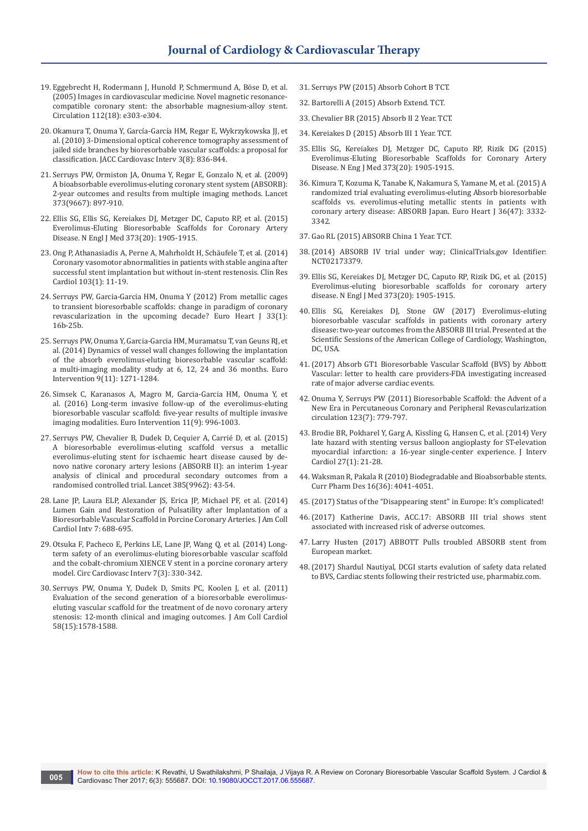- 19. [Eggebrecht H, Rodermann J, Hunold P, Schmermund A, Böse D, et al.](https://www.ncbi.nlm.nih.gov/pubmed/16267243)  [\(2005\) Images in cardiovascular medicine. Novel magnetic resonance](https://www.ncbi.nlm.nih.gov/pubmed/16267243)[compatible coronary stent: the absorbable magnesium-alloy stent.](https://www.ncbi.nlm.nih.gov/pubmed/16267243)  [Circulation 112\(18\): e303-e304.](https://www.ncbi.nlm.nih.gov/pubmed/16267243)
- 20. [Okamura T, Onuma Y, García-García HM, Regar E, Wykrzykowska JJ, et](https://www.ncbi.nlm.nih.gov/pubmed/20723856)  [al. \(2010\) 3-Dimensional optical coherence tomography assessment of](https://www.ncbi.nlm.nih.gov/pubmed/20723856)  [jailed side branches by bioresorbable vascular scaffolds: a proposal for](https://www.ncbi.nlm.nih.gov/pubmed/20723856)  [classification. JACC Cardiovasc Interv 3\(8\): 836-844.](https://www.ncbi.nlm.nih.gov/pubmed/20723856)
- 21. [Serruys PW, Ormiston JA, Onuma Y, Regar E, Gonzalo N, et al. \(2009\)](https://www.ncbi.nlm.nih.gov/pubmed/19286089)  [A bioabsorbable everolimus-eluting coronary stent system \(ABSORB\):](https://www.ncbi.nlm.nih.gov/pubmed/19286089)  [2-year outcomes and results from multiple imaging methods. Lancet](https://www.ncbi.nlm.nih.gov/pubmed/19286089)  [373\(9667\): 897-910.](https://www.ncbi.nlm.nih.gov/pubmed/19286089)
- 22. [Ellis SG, Ellis SG, Kereiakes DJ, Metzger DC, Caputo RP, et al. \(2015\)](https://www.ncbi.nlm.nih.gov/pubmed/26457558)  [Everolimus-Eluting Bioresorbable Scaffolds for Coronary Artery](https://www.ncbi.nlm.nih.gov/pubmed/26457558)  [Disease. N Engl J Med 373\(20\): 1905-1915.](https://www.ncbi.nlm.nih.gov/pubmed/26457558)
- 23. [Ong P, Athanasiadis A, Perne A, Mahrholdt H, Schäufele T, et al. \(2014\)](https://www.ncbi.nlm.nih.gov/pubmed/23995322)  [Coronary vasomotor abnormalities in patients with stable angina after](https://www.ncbi.nlm.nih.gov/pubmed/23995322)  [successful stent implantation but without in-stent restenosis. Clin Res](https://www.ncbi.nlm.nih.gov/pubmed/23995322)  [Cardiol 103\(1\): 11-19.](https://www.ncbi.nlm.nih.gov/pubmed/23995322)
- 24. [Serruys PW, Garcia-Garcia HM, Onuma Y \(2012\) From metallic cages](https://www.ncbi.nlm.nih.gov/pubmed/22041548)  [to transient bioresorbable scaffolds: change in paradigm of coronary](https://www.ncbi.nlm.nih.gov/pubmed/22041548)  [revascularization in the upcoming decade? Euro Heart J 33\(1\):](https://www.ncbi.nlm.nih.gov/pubmed/22041548)  [16b-25b.](https://www.ncbi.nlm.nih.gov/pubmed/22041548)
- 25. [Serruys PW, Onuma Y, Garcia-Garcia HM, Muramatsu T, van Geuns RJ, et](https://www.ncbi.nlm.nih.gov/pubmed/24291783)  [al. \(2014\) Dynamics of vessel wall changes following the implantation](https://www.ncbi.nlm.nih.gov/pubmed/24291783)  [of the absorb everolimus-eluting bioresorbable vascular scaffold:](https://www.ncbi.nlm.nih.gov/pubmed/24291783)  [a multi-imaging modality study at 6, 12, 24 and 36 months. Euro](https://www.ncbi.nlm.nih.gov/pubmed/24291783)  [Intervention 9\(11\): 1271-1284.](https://www.ncbi.nlm.nih.gov/pubmed/24291783)
- 26. [Simsek C, Karanasos A, Magro M, Garcia-Garcia HM, Onuma Y, et](https://www.ncbi.nlm.nih.gov/pubmed/25349042/)  [al. \(2016\) Long-term invasive follow-up of the everolimus-eluting](https://www.ncbi.nlm.nih.gov/pubmed/25349042/)  [bioresorbable vascular scaffold: five-year results of multiple invasive](https://www.ncbi.nlm.nih.gov/pubmed/25349042/)  [imaging modalities. Euro Intervention 11\(9\): 996-1003.](https://www.ncbi.nlm.nih.gov/pubmed/25349042/)
- 27. [Serruys PW, Chevalier B, Dudek D, Cequier A, Carrié D, et al. \(2015\)](https://www.ncbi.nlm.nih.gov/pubmed/25230593)  [A bioresorbable everolimus-eluting scaffold versus a metallic](https://www.ncbi.nlm.nih.gov/pubmed/25230593)  [everolimus-eluting stent for ischaemic heart disease caused by de](https://www.ncbi.nlm.nih.gov/pubmed/25230593)[novo native coronary artery lesions \(ABSORB II\): an interim 1-year](https://www.ncbi.nlm.nih.gov/pubmed/25230593)  [analysis of clinical and procedural secondary outcomes from a](https://www.ncbi.nlm.nih.gov/pubmed/25230593)  [randomised controlled trial. Lancet 385\(9962\): 43-54.](https://www.ncbi.nlm.nih.gov/pubmed/25230593)
- 28. [Lane JP, Laura ELP, Alexander JS, Erica JP, Michael PF, et al. \(2014\)](http://www.interventions.onlinejacc.org/content/7/6/688)  [Lumen Gain and Restoration of Pulsatility after Implantation of a](http://www.interventions.onlinejacc.org/content/7/6/688)  [Bioresorbable Vascular Scaffold in Porcine Coronary Arteries. J Am Coll](http://www.interventions.onlinejacc.org/content/7/6/688)  [Cardiol Intv 7: 688-695.](http://www.interventions.onlinejacc.org/content/7/6/688)
- 29. [Otsuka F, Pacheco E, Perkins LE, Lane JP, Wang Q, et al. \(2014\) Long](https://www.ncbi.nlm.nih.gov/pubmed/24895447)[term safety of an everolimus-eluting bioresorbable vascular scaffold](https://www.ncbi.nlm.nih.gov/pubmed/24895447)  [and the cobalt-chromium XIENCE V stent in a porcine coronary artery](https://www.ncbi.nlm.nih.gov/pubmed/24895447)  [model. Circ Cardiovasc Interv 7\(3\): 330-342.](https://www.ncbi.nlm.nih.gov/pubmed/24895447)
- 30. [Serruys PW, Onuma Y, Dudek D, Smits PC, Koolen J, et al. \(2011\)](https://www.ncbi.nlm.nih.gov/pubmed/21958884)  [Evaluation of the second generation of a bioresorbable everolimus](https://www.ncbi.nlm.nih.gov/pubmed/21958884)[eluting vascular scaffold for the treatment of de novo coronary artery](https://www.ncbi.nlm.nih.gov/pubmed/21958884)  [stenosis: 12-month clinical and imaging outcomes. J Am Coll Cardiol](https://www.ncbi.nlm.nih.gov/pubmed/21958884)  [58\(15\):1578-1588.](https://www.ncbi.nlm.nih.gov/pubmed/21958884)
- 31. Serruys PW (2015) Absorb Cohort B TCT.
- 32. Bartorelli A (2015) Absorb Extend. TCT.
- 33. Chevalier BR (2015) Absorb II 2 Year. TCT.
- 34. Kereiakes D (2015) Absorb III 1 Year. TCT.
- 35. [Ellis SG, Kereiakes DJ, Metzger DC, Caputo RP, Rizik DG \(2015\)](https://www.ncbi.nlm.nih.gov/pubmed/26457558)  [Everolimus-Eluting Bioresorbable Scaffolds for Coronary Artery](https://www.ncbi.nlm.nih.gov/pubmed/26457558)  [Disease. N Eng J Med 373\(20\): 1905-1915.](https://www.ncbi.nlm.nih.gov/pubmed/26457558)
- 36. [Kimura T, Kozuma K, Tanabe K, Nakamura S, Yamane M, et al. \(2015\) A](https://academic.oup.com/eurheartj/article/36/47/3332/2398313/A-randomized-trial-evaluating-everolimus-eluting)  [randomized trial evaluating everolimus-eluting Absorb bioresorbable](https://academic.oup.com/eurheartj/article/36/47/3332/2398313/A-randomized-trial-evaluating-everolimus-eluting)  [scaffolds vs. everolimus-eluting metallic stents in patients with](https://academic.oup.com/eurheartj/article/36/47/3332/2398313/A-randomized-trial-evaluating-everolimus-eluting)  [coronary artery disease: ABSORB Japan. Euro Heart J 36\(47\): 3332-](https://academic.oup.com/eurheartj/article/36/47/3332/2398313/A-randomized-trial-evaluating-everolimus-eluting) [3342.](https://academic.oup.com/eurheartj/article/36/47/3332/2398313/A-randomized-trial-evaluating-everolimus-eluting)
- 37. Gao RL (2015) ABSORB China 1 Year. TCT.
- 38.[\(2014\) ABSORB IV trial under way; ClinicalTrials.gov Identifier:](https://clinicaltrials.gov/ct2/show/NCT02173379)  [NCT02173379.](https://clinicaltrials.gov/ct2/show/NCT02173379)
- 39. [Ellis SG, Kereiakes DJ, Metzger DC, Caputo RP, Rizik DG, et al. \(2015\)](https://www.ncbi.nlm.nih.gov/pubmed/26457558)  [Everolimus-eluting bioresorbable scaffolds for coronary artery](https://www.ncbi.nlm.nih.gov/pubmed/26457558)  [disease. N Engl J Med 373\(20\): 1905-1915.](https://www.ncbi.nlm.nih.gov/pubmed/26457558)
- 40. Ellis SG, Kereiakes DJ, Stone GW (2017) Everolimus-eluting bioresorbable vascular scaffolds in patients with coronary artery disease: two-year outcomes from the ABSORB III trial. Presented at the Scientific Sessions of the American College of Cardiology, Washington, DC, USA.
- 41.[\(2017\) Absorb GT1 Bioresorbable Vascular Scaffold \(BVS\) by Abbott](https://www.fda.gov/safety/medwatch/safetyinformation/safetyalertsforhumanmedicalproducts/ucm547256.htm)  [Vascular: letter to health care providers-FDA investigating increased](https://www.fda.gov/safety/medwatch/safetyinformation/safetyalertsforhumanmedicalproducts/ucm547256.htm)  [rate of major adverse cardiac events.](https://www.fda.gov/safety/medwatch/safetyinformation/safetyalertsforhumanmedicalproducts/ucm547256.htm)
- 42. [Onuma Y, Serruys PW \(2011\) Bioresorbable Scaffold: the Advent of a](https://www.ncbi.nlm.nih.gov/pubmed/21343594)  [New Era in Percutaneous Coronary and Peripheral Revascularization](https://www.ncbi.nlm.nih.gov/pubmed/21343594)  [circulation 123\(7\): 779-797.](https://www.ncbi.nlm.nih.gov/pubmed/21343594)
- 43. [Brodie BR, Pokharel Y, Garg A, Kissling G, Hansen C, et al. \(2014\) Very](https://www.ncbi.nlm.nih.gov/pubmed/24372979/)  [late hazard with stenting versus balloon angioplasty for ST-elevation](https://www.ncbi.nlm.nih.gov/pubmed/24372979/)  [myocardial infarction: a 16-year single-center experience. J Interv](https://www.ncbi.nlm.nih.gov/pubmed/24372979/)  [Cardiol 27\(1\): 21-28.](https://www.ncbi.nlm.nih.gov/pubmed/24372979/)
- 44. [Waksman R, Pakala R \(2010\) Biodegradable and Bioabsorbable stents.](https://www.ncbi.nlm.nih.gov/pubmed/21208182)  [Curr Pharm Des 16\(36\): 4041-4051.](https://www.ncbi.nlm.nih.gov/pubmed/21208182)
- 45.[\(2017\) Status of the "Disappearing stent" in Europe: It's complicated!](http://www.ptca.org/voice/2017/04/06/the-disappearing-stent-disappears-in-europe-2740)
- 46.[\(2017\) Katherine Davis, ACC.17: ABSORB III trial shows stent](http://www.cardiovascularbusiness.com/topics/coronary-intervention-surgery/acc17-absorb-iii-trial-shows-stent-associated-increased-risk-adverse-outcomes)  [associated with increased risk of adverse outcomes.](http://www.cardiovascularbusiness.com/topics/coronary-intervention-surgery/acc17-absorb-iii-trial-shows-stent-associated-increased-risk-adverse-outcomes)
- 47. [Larry Husten \(2017\) ABBOTT Pulls troubled ABSORB stent from](http://www.cardiobrief.org/2017/04/06/abbott-pulls-troubled-absorb-stent-from-european-market/)  [European market.](http://www.cardiobrief.org/2017/04/06/abbott-pulls-troubled-absorb-stent-from-european-market/)
- 48.(2017) Shardul Nautiyal, DCGI starts evalution of safety data related to BVS, Cardiac stents following their restricted use, pharmabiz.com.